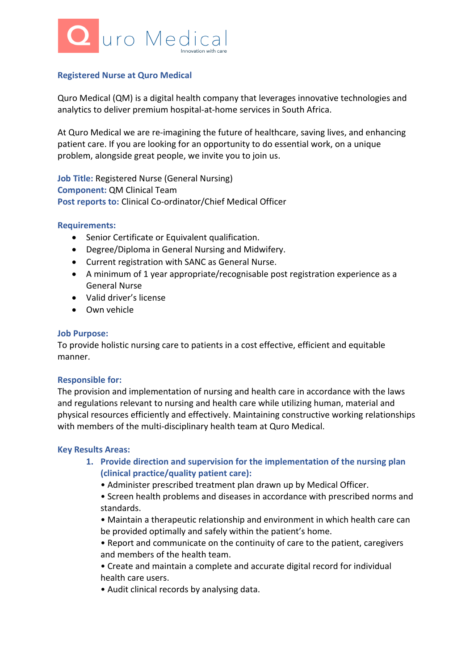

# **Registered Nurse at Quro Medical**

Quro Medical (QM) is a digital health company that leverages innovative technologies and analytics to deliver premium hospital-at-home services in South Africa.

At Quro Medical we are re-imagining the future of healthcare, saving lives, and enhancing patient care. If you are looking for an opportunity to do essential work, on a unique problem, alongside great people, we invite you to join us.

**Job Title:** Registered Nurse (General Nursing) **Component:** QM Clinical Team **Post reports to:** Clinical Co-ordinator/Chief Medical Officer

## **Requirements:**

- Senior Certificate or Equivalent qualification.
- Degree/Diploma in General Nursing and Midwifery.
- Current registration with SANC as General Nurse.
- A minimum of 1 year appropriate/recognisable post registration experience as a General Nurse
- Valid driver's license
- Own vehicle

#### **Job Purpose:**

To provide holistic nursing care to patients in a cost effective, efficient and equitable manner.

## **Responsible for:**

The provision and implementation of nursing and health care in accordance with the laws and regulations relevant to nursing and health care while utilizing human, material and physical resources efficiently and effectively. Maintaining constructive working relationships with members of the multi-disciplinary health team at Quro Medical.

#### **Key Results Areas:**

- **1. Provide direction and supervision for the implementation of the nursing plan (clinical practice/quality patient care):**
	- Administer prescribed treatment plan drawn up by Medical Officer.
	- Screen health problems and diseases in accordance with prescribed norms and standards.

• Maintain a therapeutic relationship and environment in which health care can be provided optimally and safely within the patient's home.

- Report and communicate on the continuity of care to the patient, caregivers and members of the health team.
- Create and maintain a complete and accurate digital record for individual health care users.
- Audit clinical records by analysing data.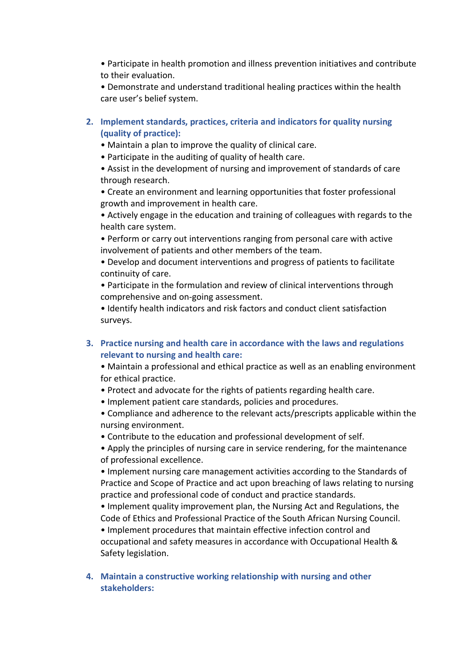• Participate in health promotion and illness prevention initiatives and contribute to their evaluation.

• Demonstrate and understand traditional healing practices within the health care user's belief system.

- **2. Implement standards, practices, criteria and indicators for quality nursing (quality of practice):**
	- Maintain a plan to improve the quality of clinical care.
	- Participate in the auditing of quality of health care.

• Assist in the development of nursing and improvement of standards of care through research.

• Create an environment and learning opportunities that foster professional growth and improvement in health care.

• Actively engage in the education and training of colleagues with regards to the health care system.

• Perform or carry out interventions ranging from personal care with active involvement of patients and other members of the team.

• Develop and document interventions and progress of patients to facilitate continuity of care.

• Participate in the formulation and review of clinical interventions through comprehensive and on-going assessment.

• Identify health indicators and risk factors and conduct client satisfaction surveys.

# **3. Practice nursing and health care in accordance with the laws and regulations relevant to nursing and health care:**

• Maintain a professional and ethical practice as well as an enabling environment for ethical practice.

- Protect and advocate for the rights of patients regarding health care.
- Implement patient care standards, policies and procedures.
- Compliance and adherence to the relevant acts/prescripts applicable within the nursing environment.
- Contribute to the education and professional development of self.

• Apply the principles of nursing care in service rendering, for the maintenance of professional excellence.

• Implement nursing care management activities according to the Standards of Practice and Scope of Practice and act upon breaching of laws relating to nursing practice and professional code of conduct and practice standards.

• Implement quality improvement plan, the Nursing Act and Regulations, the Code of Ethics and Professional Practice of the South African Nursing Council. • Implement procedures that maintain effective infection control and occupational and safety measures in accordance with Occupational Health & Safety legislation.

**4. Maintain a constructive working relationship with nursing and other stakeholders:**